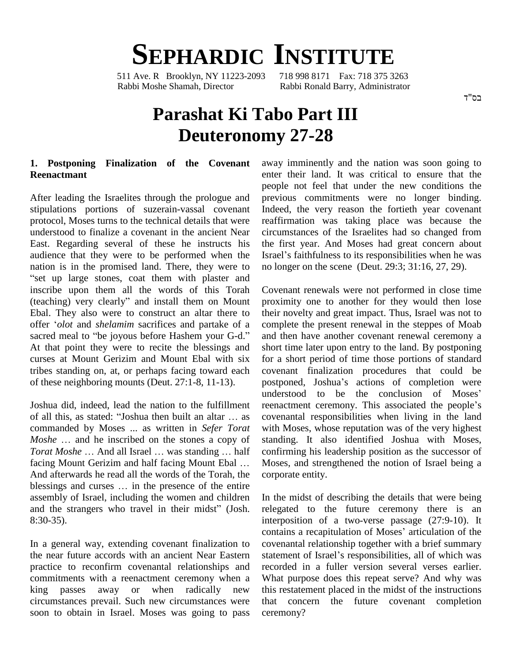# **SEPHARDIC INSTITUTE**<br>Ave. R Brooklyn. NY 11223-2093 718 998 8171 Fax: 718 375 3263

511 Ave. R Brooklyn, NY 11223-2093 Rabbi Moshe Shamah, Director Rabbi Ronald Barry, Administrator

## **Parashat Ki Tabo Part III Deuteronomy 27-28**

### **1. Postponing Finalization of the Covenant Reenactmant**

After leading the Israelites through the prologue and stipulations portions of suzerain-vassal covenant protocol, Moses turns to the technical details that were understood to finalize a covenant in the ancient Near East. Regarding several of these he instructs his audience that they were to be performed when the Israel nation is in the promised land. There, they were to "set up large stones, coat them with plaster and<br>inscribe upon them all the words of this Torah Coven<br>(teaching) very clearly" and install them on Mount proxin inscribe upon them all the words of this Torah Ebal. They also were to construct an altar there to (teaching) very clearly" and install them on Mount<br>Ebal. They also were to construct an altar there to<br>offer *'olot* and *shelamim* sacrifices and partake of a sacred meal to "be joyous before Hashem your G-d." At that point they were to recite the blessings and curses at Mount Gerizim and Mount Ebal with six tribes standing on, at, or perhaps facing toward each of these neighboring mounts (Deut. 27:1-8, 11-13).

Joshua did, indeed, lead the nation to the fulfillment Ioshua did, indeed, lead the nation to the fulfillment<br>of all this, as stated: "Joshua then built an altar ... as covenantal i commanded by Moses ... as written in *Sefer Torat* of all this, as stated: "Joshua then built an altar ... as covernmanded by Moses ... as written in *Sefer Torat* with *Moshe* ... and he inscribed on the stones a copy of star commanded by Moses ... as written in *Sefer Torat* with Mose *Moshe* ... and he inscribed on the stones a copy of standing.<br>*Torat Moshe* ... And all Israel ... was standing ... half confirming *Moshe* ... and he inscribed on the stones a copy of *Torat Moshe* ... And all Israel ... was standing ... half facing Mount Gerizim and half facing Mount Ebal ... And afterwards he read all the words of the Torah, the facing Mount Gerizim and half facing Mount Ebal ... Mose<br>And afterwards he read all the words of the Torah, the corpor<br>blessings and curses ... in the presence of the entire assembly of Israel, including the women and children blessings and curses ... in the presence of the entire<br>assembly of Israel, including the women and children Ir<br>and the strangers who travel in their midst" (Josh. 8:30-35).

In a general way, extending covenant finalization to the near future accords with an ancient Near Eastern statement of Israel's responsibilities, all of which was practice to reconfirm covenantal relationships and commitments with a reenactment ceremony when a king passes away or when radically new circumstances prevail. Such new circumstances were soon to obtain in Israel. Moses was going to pass

away imminently and the nation was soon going to enter their land. It was critical to ensure that the people not feel that under the new conditions the previous commitments were no longer binding. Indeed, the very reason the fortieth year covenant reaffirmation was taking place was because the circumstances of the Israelites had so changed from the first year. And Moses had great concern about circumstances of the Israelites had so changed from<br>the first year. And Moses had great concern about<br>Israel's faithfulness to its responsibilities when he was no longer on the scene (Deut. 29:3; 31:16, 27, 29).

Covenant renewals were not performed in close time proximity one to another for they would then lose their novelty and great impact. Thus, Israel was not to complete the present renewal in the steppes of Moab and then have another covenant renewal ceremony a short time later upon entry to the land. By postponing for a short period of time those portions of standard covenant finalization procedures that could be for a short period of time those portions of standard<br>covenant finalization procedures that could be<br>postponed, Joshua's actions of completion were covenant finalization procedures that could be<br>postponed, Joshua's actions of completion were<br>understood to be the conclusion of Moses' postponed, Joshua's actions of completion were<br>understood to be the conclusion of Moses'<br>reenactment ceremony. This associated the people's covenantal responsibilities when living in the land with Moses, whose reputation was of the very highest standing. It also identified Joshua with Moses, confirming his leadership position as the successor of Moses, and strengthened the notion of Israel being a corporate entity.

In the midst of describing the details that were being relegated to the future ceremony there is an In the midst of describing the details that were being<br>relegated to the future ceremony there is an<br>interposition of a two-verse passage (27:9-10). It relegated to the future ceremony there is an interposition of a two-verse passage (27:9-10). It contains a recapitulation of Moses' articulation of the covenantal relationship together with a brief summary contains a recapitulation of Moses' articulation of the<br>covenantal relationship together with a brief summary<br>statement of Israel's responsibilities, all of which was recorded in a fuller version several verses earlier. What purpose does this repeat serve? And why was this restatement placed in the midst of the instructions that concern the future covenant completion ceremony?

בס"ד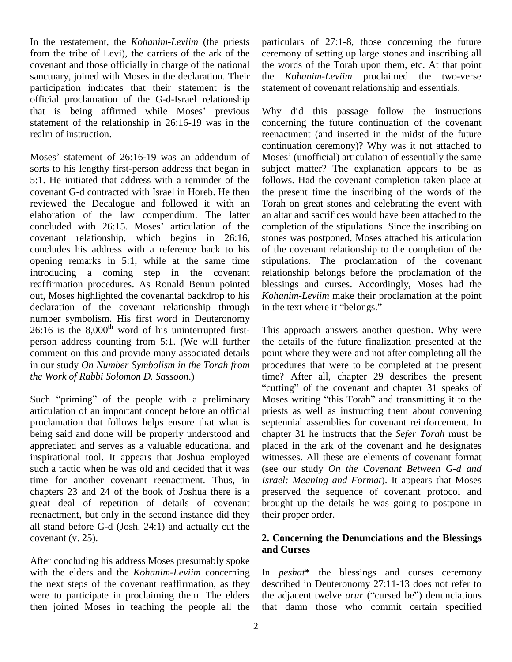In the restatement, the *Kohanim-Leviim* (the priests from the tribe of Levi), the carriers of the ark of the covenant and those officially in charge of the national sanctuary, joined with Moses in the declaration. Their participation indicates that their statement is the statement official proclamation of the G-d-Israel relationship that is being affirmed while Moses' previous Why official proclamation of the G-d-Israel relationship statement of the relationship in 26:16-19 was in the realm of instruction.

Moses' statement of 26:16-19 was an addendum of Moses' (unofficial) articulation of essentially the same sorts to his lengthy first-person address that began in 5:1. He initiated that address with a reminder of the covenant G-d contracted with Israel in Horeb. He then reviewed the Decalogue and followed it with an elaboration of the law compendium. The latter reviewed the Decalogue and followed it with an Toral<br>elaboration of the law compendium. The latter an alt<br>concluded with 26:15. Moses' articulation of the comp covenant relationship, which begins in 26:16, concludes his address with a reference back to his opening remarks in 5:1, while at the same time introducing a coming step in the covenant reaffirmation procedures. As Ronald Benun pointed out, Moses highlighted the covenantal backdrop to his declaration of the covenant relationship through in the text where it "belongs." number symbolism. His first word in Deuteronomy  $26:16$  is the  $8,000$ <sup>th</sup> word of his uninterrupted first- Thi person address counting from 5:1. (We will further comment on this and provide many associated details in our study *On Number Symbolism in the Torah from the Work of Rabbi Solomon D. Sassoon*.)

articulation of an important concept before an official proclamation that follows helps ensure that what is being said and done will be properly understood and appreciated and serves as a valuable educational and inspirational tool. It appears that Joshua employed such a tactic when he was old and decided that it was time for another covenant reenactment. Thus, in chapters 23 and 24 of the book of Joshua there is a great deal of repetition of details of covenant reenactment, but only in the second instance did they all stand before G-d (Josh. 24:1) and actually cut the covenant (v. 25).

After concluding his address Moses presumably spoke with the elders and the *Kohanim-Leviim* concerning the next steps of the covenant reaffirmation, as they were to participate in proclaiming them. The elders then joined Moses in teaching the people all the particulars of 27:1-8, those concerning the future ceremony of setting up large stones and inscribing all the words of the Torah upon them, etc. At that point the *Kohanim-Leviim* proclaimed the two-verse statement of covenant relationship and essentials.

Why did this passage follow the instructions concerning the future continuation of the covenant reenactment (and inserted in the midst of the future continuation ceremony)? Why was it not attached to reenactment (and inserted in the midst of the future<br>continuation ceremony)? Why was it not attached to<br>Moses' (unofficial) articulation of essentially the same subject matter? The explanation appears to be as follows. Had the covenant completion taken place at the present time the inscribing of the words of the Torah on great stones and celebrating the event with an altar and sacrifices would have been attached to the completion of the stipulations. Since the inscribing on stones was postponed, Moses attached his articulation of the covenant relationship to the completion of the stipulations. The proclamation of the covenant relationship belongs before the proclamation of the blessings and curses. Accordingly, Moses had the *Kohanim-Leviim* make their proclamation at the point in the text where it "belongs." *Kohanim-Leviim* make their proclamation at the point

the Work of Rabbi Solomon D. Sassoon.) time? After all, chapter 29 describes the present<br>"cutting" of the covenant and chapter 31 speaks of<br>Such "priming" of the people with a preliminary Moses writing "this Torah" and tra This approach answers another question. Why were the details of the future finalization presented at the point where they were and not after completing all the procedures that were to be completed at the present time? After all, chapter 29 describes the present rocedures that were to be completed at the present<br>ime? After all, chapter 29 describes the present<br>cutting" of the covenant and chapter 31 speaks of time? After all, chapter 29 describes the present<br>"cutting" of the covenant and chapter 31 speaks of<br>Moses writing "this Torah" and transmitting it to the priests as well as instructing them about convening septennial assemblies for covenant reinforcement. In chapter 31 he instructs that the *Sefer Torah* must be placed in the ark of the covenant and he designates witnesses. All these are elements of covenant format (see our study *On the Covenant Between G-d and Israel: Meaning and Format*). It appears that Moses preserved the sequence of covenant protocol and brought up the details he was going to postpone in their proper order.

#### **2. Concerning the Denunciations and the Blessings and Curses**

In *peshat*\* the blessings and curses ceremony described in Deuteronomy 27:11-13 does not refer to the adjacent twelve *arur* ("cursed be") denunciations that damn those who commit certain specified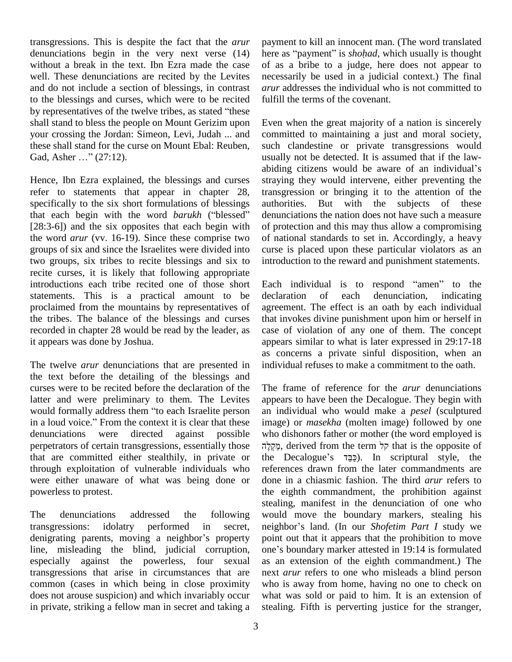transgressions. This is despite the fact that the *arur* denunciations begin in the very next verse (14) without a break in the text. Ibn Ezra made the case well. These denunciations are recited by the Levites and do not include a section of blessings, in contrast to the blessings and curses, which were to be recited by representatives of the twelve tribes, as stated "these" shall stand to bless the people on Mount Gerizim upon your crossing the Jordan: Simeon, Levi, Judah ... and comm<br>these shall stand for the curse on Mount Ebal: Reuben, such<br>Gad, Asher ..." (27:12). usuall these shall stand for the curse on Mount Ebal: Reuben,

Hence, Ibn Ezra explained, the blessings and curses refer to statements that appear in chapter 28, specifically to the six short formulations of blessings auth refer to statements that appear in chapter 28, transspecifically to the six short formulations of blessings author<br>that each begin with the word *barukh* ("blessed" denu [28:3-6]) and the six opposites that each begin with the word *arur* (vv. 16-19). Since these comprise two groups of six and since the Israelites were divided into two groups, six tribes to recite blessings and six to recite curses, it is likely that following appropriate introductions each tribe recited one of those short Each individual is to respond "amen" to the statements. This is a practical amount to be declaration proclaimed from the mountains by representatives of the tribes. The balance of the blessings and curses recorded in chapter 28 would be read by the leader, as it appears was done by Joshua.

The twelve *arur* denunciations that are presented in the text before the detailing of the blessings and curses were to be recited before the declaration of the latter and were preliminary to them. The Levites appe curses were to be recited before the declaration of the The f<br>latter and were preliminary to them. The Levites appear<br>would formally address them "to each Israelite person an inc latter and were preliminary to them. The Levites appear<br>would formally address them "to each Israelite person an ir<br>in a loud voice." From the context it is clear that these imag denunciations were directed against possible perpetrators of certain transgressions, essentially those that are committed either stealthily, in private or the Decalogue's  $\overline{z}$ פַּבַּד). In scriptural style, the through exploitation of vulnerable individuals who were either unaware of what was being done or powerless to protest.

The denunciations addressed the following transgressions: idolatry performed in secret, neighbor's land. (In our Shofetim Part I study we denigrating parents, moving a neighbor's property line, misleading the blind, judicial corruption, one's boundary marker attested in 19:14 is formulated especially against the powerless, four sexual transgressions that arise in circumstances that are common (cases in which being in close proximity does not arouse suspicion) and which invariably occur in private, striking a fellow man in secret and taking a

payment to killan innocent man. (The word translated here as "payment" is *shohad*, which usually is thought of as a bribe to a judge, here does not appear to necessarily be used in a judicial context.) The final *arur* addresses the individual who is not committed to fulfill the terms of the covenant.

Even when the great majority of a nation is sincerely committed to maintaining a just and moral society, such clandestine or private transgressions would<br>usually not be detected. It is assumed that if the law-<br>abiding citizens would be aware of an individual's usually not be detected. It is assumed that if the lawstraying they would intervene, either preventing the transgression or bringing it to the attention of the authorities. But with the subjects of these denunciations the nation does not have such a measure of protection and this may thus allow a compromising of national standards to set in. Accordingly, a heavy curse is placed upon these particular violators as an

introduction to the reward and punishment statements.<br>Each individual is to respond "amen" to the of each denunciation, indicating agreement. The effect is an oath by each individual that invokes divine punishment upon him or herself in case of violation of any one of them. The concept appears similar to what is later expressed in 29:17-18 as concerns a private sinful disposition, when an individual refuses to make a commitment to the oath.

The frame of reference for the *arur* denunciations appears to have been the Decalogue. They begin with an individual who would make a *pesel* (sculptured image) or *masekha* (molten image) followed by one who dishonors father or mother (the word employed is e) or *masekha* (molten image) followed by one dishonors father or mother (the word employed is , derived from the term  $\frac{1}{r}$  that is the opposite of who dishonors father or mother (the word employed is מֲקָלֶה, derived from the term קל<br>קל phat is the opposite of the Decalogue's  $\frac{1}{2}$ פַּבֵּד (In scriptural style, the references drawn from the later commandments are done in a chiasmic fashion. The third *arur* refers to the eighth commandment, the prohibition against stealing, manifest in the denunciation of one who would move the boundary markers, stealing his neighbor's land. (In our *Shofetim Part I* study we would move the boundary markers, stealing his point out that it appears that the prohibition to move neighbor's land. (In our *Shofetim Part I* study we<br>point out that it appears that the prohibition to move<br>one's boundary marker attested in 19:14 is formulated as an extension of the eighth commandment.) The next *arur* refers to one who misleads a blind person who is away from home, having no one to check on what was sold or paid to him. It is an extension of stealing. Fifth is perverting justice for the stranger,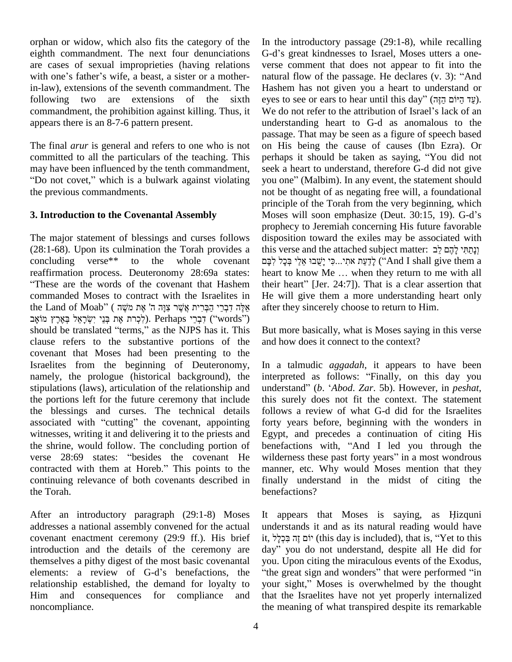orphan or widow, which also fits the category of the eighth commandment. The next four denunciations G-d<br>are cases of sexual improprieties (having relations vers<br>with one's father's wife, a beast, a sister or a motherare cases of sexual improprieties (having relations in-law), extensions of the seventh commandment. The following two are extensions of the sixth eyes to see or ears to hear until this day" (עד היוֹם הְזָה). commandment, the prohibition against killing. Thus, it We do not refer to the attribution of Israel's lack of an appears there is an 8-7-6 pattern present.

The final *arur* is general and refers to one who is not committed to all the particulars of the teaching. This perh<br>may have been influenced by the tenth commandment, seek may have been influenced by the tenth commandment, seek a heart to understand, therefore G-d did not give<br>
"Do not covet," which is a bulwark against violating you one" (Malbim). In any event, the statement should the previous commandments.

#### **3. Introduction to the Covenantal Assembly**

The major statement of blessings and curses follows (28:1-68). Upon its culmination the Torah provides a concluding verse\*\* to the whole covenant reaffirmation process. Deuteronomy 28:69a states: heart to know Me ... when they return to me with all These are the words of the covenant that Hashem their heart" commanded Moses to contract with the Israelites in f These are the words of the cov<br>commanded Moses to contract w<br>צְנָה ה' אֶת מֹשֶׁה ( אֶת מֹשֶׁה f the searce the words of the covenant that Hashem the commanded Moses to contract with the Israelites in Hether and of Moab" (אלה דברי הברית אשר צוה ה' manded Moses to contract with the Israelites in He<br>and of Moab" (אֶלֶה דִּבְרֵי הַבְּרִית אֲשֶׁר צִּוָּה ה' אֶת מְשֶׁה afte<br>יִלְכְרת אֶת בְּנֵי יִשְׂרָאֵל בְּאֶרֶץ). Perhaps יִדְבֵי (''words'') דּבְרֵי (יִלְכְרֹת אֶת בְּנֵי יִשְׂרָאֵל בְּאֶרֶץ מוֹאָב (''words'') (יִלְכְרֹת אֶת בְּנֵי יִשְׂרָאֵל בִּאֶרֶץ ל $\mbox{(``words')}$  should be translated ''terms,'' as the NJPS has it. This clause refers to the substantive portions of the covenant that Moses had been presenting to the Israelites from the beginning of Deuteronomy, namely, the prologue (historical background), the stipulations (laws), articulation of the relationship and the portions left for the future ceremony that include this such the blessings and curses. The technical details follow associated with "cutting" the covenant, appointing forty the blessings and curses. The technical details witnesses, writing it and delivering it to the priests and Egypt<br>the shrine, would follow. The concluding portion of benefa<br>verse 28:69 states: "besides the covenant He wilder the shrine, would follow. The concluding portion of verse 28:69 states: "besides the covenant He wilderness these past forty years" in a most wondrous contracted with them at Horeb." This points to the manner, etc. Why would Moses mention that they continuing relevance of both covenants described in the Torah.

After an introductory paragraph (29:1-8) Moses addresses a national assembly convened for the actual covenant enactment ceremony (29:9 ff.). His brief introduction and the details of the ceremony are day" you do not understand, despite all He did for themselves a pithy digest of the most basic covenantal introduction and the details of the ceremony are day"<br>themselves a pithy digest of the most basic covenantal you.<br>elements: a review of G-d's benefactions, the "the relationship established, the demand for loyalty to your sight," Moses is overwhelmed by the thought Him and consequences for compliance and noncompliance.

In the introductory passage (29:1-8), while recalling In the introductory passage (29:1-8), while recalling<br>G-d's great kindnesses to Israel, Moses utters a oneverse comment that does not appear to fit into the G-d's great kindnesses to Israel, Moses utters a one-<br>verse comment that does not appear to fit into the<br>natural flow of the passage. He declares (v. 3): "And Hashem has not given you a heart to understand or<br>eyes to see or ears to hear until this day" (עֲד הֵיּוֹם הֲזֶה).<br>We do not refer to the attribution of Israel's lack of an natural flow of the passage. He declares (v. 3): "And understanding heart to G-d as anomalous to the passage. That may be seen as a figure of speech based on His being the cause of causes (Ibn Ezra). Or passage. That may be seen as a figure of speech based<br>on His being the cause of causes (Ibn Ezra). Or<br>perhaps it should be taken as saying, "You did not seek a heart to understand, therefore G-d did not give perhaps it should be taken as saying, "You did not<br>seek a heart to understand, therefore G-d did not give<br>you one" (Malbim). In any event, the statement should not be thought of as negating free will, a foundational principle of the Torah from the very beginning, which not be thought of as negating free will, a foundational<br>principle of the Torah from the very beginning, which<br>Moses will soon emphasize (Deut. 30:15, 19). G-d's prophecy to Jeremiah concerning His future favorable disposition toward the exiles may be associated with prophecy to Jeremiah concerning His future favorable<br>disposition toward the exiles may be associated with<br>וְנָתַחִּי לְהֶם לֵּב ۔<br>dist osition toward the exiles may be associated with<br>וְנָתַתִּי לְהֶם לֵב : prese and the attached subject matter<br>לְדַעַת אתִי...כִּי יָשֶׁבוּ אֱלֵי בְּכָל (''And I shall give them a fins verse and the attached subject matter: נְבָתַּתִּי לָהֶם לֵב [[נְתַּתִּי לִהֶם ל<br>מַעֲת אתִי...כִּי יָשֶׁבוּ אֵלֵי בְּכָל לִבָּם And I shall give them a<br>heart to know Me ... when they return to me with all לְדַעַת אתִי...כִּי יָשֶׁבוּ אֵלֵי בְּכָל לִבָּם ("And I shall give them a<br>heart to know Me ... when they return to me with all<br>their heart" [Jer. 24:7]). That is a clear assertion that He will give them a more understanding heart only after they sincerely choose to return to Him.

But more basically, what is Moses saying in this verse and how does it connect to the context?

In a talmudic *aggadah*, it appears to have been interpreted as follows: "Finally, on this day you understand" (*b.* '*Abod. Zar.* 5b). However, in *peshat*, this surely does not fit the context. The statement follows a review of what G-d did for the Israelites forty years before, beginning with the wonders in Egypt, and precedes a continuation of citing His forty years before, beginning with the wonders in<br>Egypt, and precedes a continuation of citing His<br>benefactions with, "And I led you through the Egypt, and precedes a continuation of citing His<br>benefactions with, "And I led you through the<br>wilderness these past forty years" in a most wondrous manner, etc. Why would Moses mention that they finally understand in the midst of citing the benefactions?

It appears that Moses is saying, as <sup>H</sup>izquni understands it and as its natural reading would have It appears that Moses is saying, as Hizquni<br>understands it and as its natural reading would have<br>it, <sup>\*</sup>it, included), that is, "Yet to this understands it and as its natural reading would have<br>it, לוֹם זֶה בִּכְלָל, (this day is included), that is, "Yet to this<br>day" you do not understand, despite all He did for day" you do not understand, despite all He did for you. Upon citing the miraculous events of the Exodus, "the great sign and wonders" that were performed "in you. Upon citing the miraculous events of the Exodus,<br>"the great sign and wonders" that were performed "in<br>your sight," Moses is overwhelmed by the thought that the Israelites have not yet properly internalized the meaning of what transpired despite its remarkable